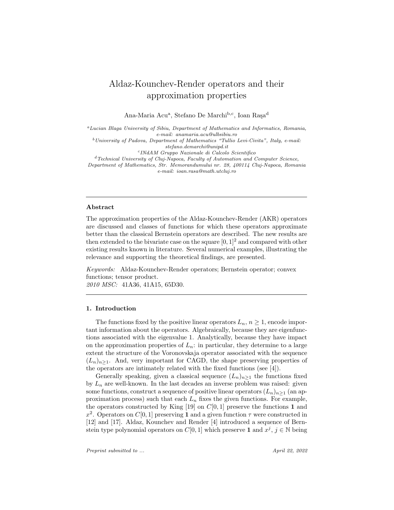# Aldaz-Kounchev-Render operators and their approximation properties

Ana-Maria Acu<sup>a</sup>, Stefano De Marchi<sup>b,c</sup>, Ioan Raşa<sup>d</sup>

<sup>a</sup>Lucian Blaga University of Sibiu, Department of Mathematics and Informatics, Romania, e-mail: anamaria.acu@ulbsibiu.ro  $^{b}$  University of Padova, Department of Mathematics "Tullio Levi-Civita", Italy, e-mail: stefano.demarchi@unipd.it

c INdAM Gruppo Nazionale di Calcolo Scientifico

<sup>d</sup>Technical University of Cluj-Napoca, Faculty of Automation and Computer Science, Department of Mathematics, Str. Memorandumului nr. 28, 400114 Cluj-Napoca, Romania e-mail: ioan.rasa@math.utcluj.ro

#### Abstract

The approximation properties of the Aldaz-Kounchev-Render (AKR) operators are discussed and classes of functions for which these operators approximate better than the classical Bernstein operators are described. The new results are then extended to the bivariate case on the square  $[0, 1]^2$  and compared with other existing results known in literature. Several numerical examples, illustrating the relevance and supporting the theoretical findings, are presented.

Keywords: Aldaz-Kounchev-Render operators; Bernstein operator; convex functions; tensor product. 2010 MSC: 41A36, 41A15, 65D30.

#### 1. Introduction

The functions fixed by the positive linear operators  $L_n$ ,  $n \geq 1$ , encode important information about the operators. Algebraically, because they are eigenfunctions associated with the eigenvalue 1. Analytically, because they have impact on the approximation properties of  $L_n$ : in particular, they determine to a large extent the structure of the Voronovskaja operator associated with the sequence  $(L_n)_{n>1}$ . And, very important for CAGD, the shape preserving properties of the operators are intimately related with the fixed functions (see [4]).

Generally speaking, given a classical sequence  $(L_n)_{n>1}$  the functions fixed by  $L_n$  are well-known. In the last decades an inverse problem was raised: given some functions, construct a sequence of positive linear operators  $(L_n)_{n\geq 1}$  (an approximation process) such that each  $L_n$  fixes the given functions. For example, the operators constructed by King  $[19]$  on  $C[0, 1]$  preserve the functions 1 and  $x^2$ . Operators on C[0, 1] preserving 1 and a given function  $\tau$  were constructed in [12] and [17]. Aldaz, Kounchev and Render [4] introduced a sequence of Bernstein type polynomial operators on  $C[0, 1]$  which preserve 1 and  $x^j, j \in \mathbb{N}$  being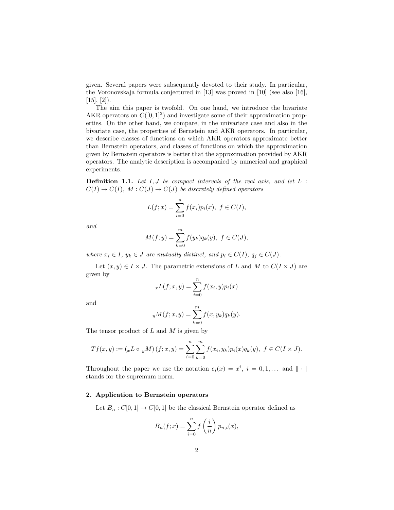given. Several papers were subsequently devoted to their study. In particular, the Voronovskaja formula conjectured in [13] was proved in [10] (see also [16],  $[15]$ ,  $[2]$ ).

The aim this paper is twofold. On one hand, we introduce the bivariate AKR operators on  $C([0, 1]^2)$  and investigate some of their approximation properties. On the other hand, we compare, in the univariate case and also in the bivariate case, the properties of Bernstein and AKR operators. In particular, we describe classes of functions on which AKR operators approximate better than Bernstein operators, and classes of functions on which the approximation given by Bernstein operators is better that the approximation provided by AKR operators. The analytic description is accompanied by numerical and graphical experiments.

**Definition 1.1.** Let  $I, J$  be compact intervals of the real axis, and let  $L$ :  $C(I) \rightarrow C(I)$ ,  $M: C(J) \rightarrow C(J)$  be discretely defined operators

$$
L(f; x) = \sum_{i=0}^{n} f(x_i) p_i(x), \ f \in C(I),
$$

and

$$
M(f; y) = \sum_{k=0}^{m} f(y_k) q_k(y), \ f \in C(J),
$$

where  $x_i \in I$ ,  $y_k \in J$  are mutually distinct, and  $p_i \in C(I)$ ,  $q_j \in C(J)$ .

Let  $(x, y) \in I \times J$ . The parametric extensions of L and M to  $C(I \times J)$  are given by

$$
_xL(f; x, y) = \sum_{i=0}^n f(x_i, y) p_i(x)
$$

and

$$
_{y}M(f;x,y)=\sum_{k=0}^{m}f(x,y_{k})q_{k}(y).
$$

The tensor product of  $L$  and  $M$  is given by

$$
Tf(x,y) := ({}_{x}L \circ {}_{y}M)(f;x,y) = \sum_{i=0}^{n} \sum_{k=0}^{m} f(x_i,y_k) p_i(x) q_k(y), \ f \in C(I \times J).
$$

Throughout the paper we use the notation  $e_i(x) = x^i$ ,  $i = 0, 1, \ldots$  and  $\|\cdot\|$ . stands for the supremum norm.

## 2. Application to Bernstein operators

Let  $B_n : C[0,1] \to C[0,1]$  be the classical Bernstein operator defined as

$$
B_n(f;x) = \sum_{i=0}^n f\left(\frac{i}{n}\right) p_{n,i}(x),
$$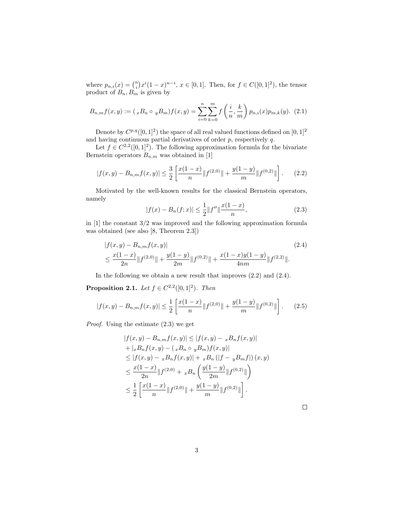where  $p_{n,i}(x) = \binom{n}{i} x^i (1-x)^{n-i}, x \in [0,1]$ . Then, for  $f \in C([0,1]^2)$ , the tensor product of  $B_n, B_m$  is given by

$$
B_{n,m}f(x,y) := ({}_{x}B_{n} \circ {}_{y}B_{m})f(x,y) = \sum_{i=0}^{n} \sum_{k=0}^{m} f\left(\frac{i}{n}, \frac{k}{m}\right) p_{n,i}(x) p_{m,k}(y). \tag{2.1}
$$

Denote by  $C^{p,q}([0, 1]^2)$  the space of all real valued functions defined on  $[0, 1]^2$ and having continuous partial derivatives of order  $p$ , respectively  $q$ .

Let  $f \in C^{2,2}([0,1]^2)$ . The following approximation formula for the bivariate Bernstein operators  $B_{n,m}$  was obtained in [1]

$$
|f(x,y) - B_{n,m}f(x,y)| \le \frac{3}{2} \left[ \frac{x(1-x)}{n} \| f^{(2,0)} \| + \frac{y(1-y)}{m} \| f^{(0,2)} \| \right].
$$
 (2.2)

Motivated by the well-known results for the classical Bernstein operators, namely

$$
|f(x) - B_n(f; x)| \le \frac{1}{2} \|f''\| \frac{x(1-x)}{n},\tag{2.3}
$$

in [1] the constant 3/2 was improved and the following approximation formula was obtained (see also [8, Theorem 2.3])

$$
|f(x,y) - B_{n,m}f(x,y)|
$$
\n
$$
\leq \frac{x(1-x)}{2n} \|f^{(2,0)}\| + \frac{y(1-y)}{2m} \|f^{(0,2)}\| + \frac{x(1-x)y(1-y)}{4nm} \|f^{(2,2)}\|.
$$
\n(2.4)

In the following we obtain a new result that improves (2.2) and (2.4).

**Proposition 2.1.** Let  $f \in C^{2,2}([0,1]^2)$ . Then

$$
|f(x,y) - B_{n,m}f(x,y)| \le \frac{1}{2} \left[ \frac{x(1-x)}{n} \| f^{(2,0)} \| + \frac{y(1-y)}{m} \| f^{(0,2)} \| \right].
$$
 (2.5)

Proof. Using the estimate (2.3) we get

$$
|f(x,y) - B_{n,m}f(x,y)| \le |f(x,y) - xB_nf(x,y)|
$$
  
+  $|xB_nf(x,y) - (xB_n \circ yB_m)f(x,y)|$   
 $\le |f(x,y) - xB_nf(x,y)| + xB_n (|f - yB_mf|) (x,y)$   
 $\le \frac{x(1-x)}{2n} ||f^{(2,0)} + xB_n \left( \frac{y(1-y)}{2m} ||f^{(0,2)}|| \right)$   
 $\le \frac{1}{2} \left[ \frac{x(1-x)}{n} ||f^{(2,0)}|| + \frac{y(1-y)}{m} ||f^{(0,2)}|| \right].$ 

 $\Box$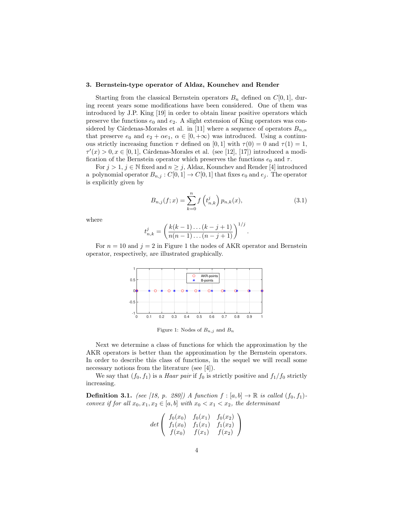## 3. Bernstein-type operator of Aldaz, Kounchev and Render

Starting from the classical Bernstein operators  $B_n$  defined on  $C[0, 1]$ , during recent years some modifications have been considered. One of them was introduced by J.P. King [19] in order to obtain linear positive operators which preserve the functions  $e_0$  and  $e_2$ . A slight extension of King operators was considered by Cárdenas-Morales et al. in [11] where a sequence of operators  $B_{n,\alpha}$ that preserve  $e_0$  and  $e_2 + \alpha e_1$ ,  $\alpha \in [0, +\infty)$  was introduced. Using a continuous strictly increasing function  $\tau$  defined on [0, 1] with  $\tau(0) = 0$  and  $\tau(1) = 1$ ,  $\tau'(x) > 0, x \in [0, 1],$  Cárdenas-Morales et al. (see [12], [17]) introduced a modification of the Bernstein operator which preserves the functions  $e_0$  and  $\tau$ .

For  $j > 1$ ,  $j \in \mathbb{N}$  fixed and  $n \geq j$ , Aldaz, Kounchev and Render [4] introduced a polynomial operator  $B_{n,j}: C[0,1] \to C[0,1]$  that fixes  $e_0$  and  $e_j$ . The operator is explicitly given by

$$
B_{n,j}(f;x) = \sum_{k=0}^{n} f\left(t_{n,k}^{j}\right) p_{n,k}(x), \qquad (3.1)
$$

where

$$
t_{n,k}^j = \left(\frac{k(k-1)\dots(k-j+1)}{n(n-1)\dots(n-j+1)}\right)^{1/j}.
$$

For  $n = 10$  and  $j = 2$  in Figure 1 the nodes of AKR operator and Bernstein operator, respectively, are illustrated graphically.



Figure 1: Nodes of  $B_{n,j}$  and  $B_n$ 

Next we determine a class of functions for which the approximation by the AKR operators is better than the approximation by the Bernstein operators. In order to describe this class of functions, in the sequel we will recall some necessary notions from the literature (see [4]).

We say that  $(f_0, f_1)$  is a *Haar pair* if  $f_0$  is strictly positive and  $f_1/f_0$  strictly increasing.

**Definition 3.1.** (see [18, p. 280]) A function  $f : [a, b] \rightarrow \mathbb{R}$  is called  $(f_0, f_1)$ convex if for all  $x_0, x_1, x_2 \in [a, b]$  with  $x_0 < x_1 < x_2$ , the determinant

$$
det \left( \begin{array}{cc} f_0(x_0) & f_0(x_1) & f_0(x_2) \\ f_1(x_0) & f_1(x_1) & f_1(x_2) \\ f(x_0) & f(x_1) & f(x_2) \end{array} \right)
$$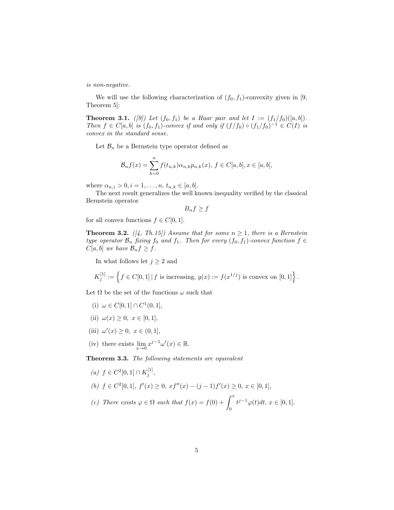is non-negative.

We will use the following characterization of  $(f_0, f_1)$ -convexity given in [9, Theorem 5]:

**Theorem 3.1.** ([9]) Let  $(f_0, f_1)$  be a Haar pair and let  $I := (f_1/f_0)([a, b])$ . Then  $f \in C[a, b]$  is  $(f_0, f_1)$ -convex if and only if  $(f/f_0) \circ (f_1/f_0)^{-1} \in C(I)$  is convex in the standard sense.

Let  $\mathcal{B}_n$  be a Bernstein type operator defined as

$$
\mathcal{B}_n f(x) = \sum_{k=0}^n f(t_{n,k}) \alpha_{n,k} p_{n,k}(x), \ f \in C[a, b], x \in [a, b],
$$

where  $\alpha_{n,i} > 0, i = 1, ..., n, t_{n,k} \in [a, b].$ 

The next result generalizes the well known inequality verified by the classical Bernstein operator

 $B_n f \geq f$ 

for all convex functions  $f \in C[0, 1]$ .

**Theorem 3.2.** ([4, Th.15]) Assume that for some  $n \geq 1$ , there is a Bernstein type operator  $\mathcal{B}_n$  fixing  $f_0$  and  $f_1$ . Then for every  $(f_0, f_1)$ -convex function  $f \in$  $C[a, b]$  we have  $\mathcal{B}_n f \geq f$ .

In what follows let  $j \geq 2$  and

$$
K_j^{[1]} := \left\{ f \in C[0,1] \, | \, f \text{ is increasing, } g(x) := f(x^{1/j}) \text{ is convex on } [0,1] \right\}.
$$

Let  $\Omega$  be the set of the functions  $\omega$  such that

- (i)  $\omega \in C[0,1] \cap C^1(0,1],$
- (ii)  $\omega(x) \geq 0, x \in [0, 1],$
- (iii)  $\omega'(x) \ge 0, x \in (0, 1],$
- (iv) there exists  $\lim_{x\to 0} x^{j-1}\omega'(x) \in \mathbb{R}$ .

Theorem 3.3. The following statements are equivalent

(a)  $f \in C^2[0,1] \cap K_j^{[1]},$ (b)  $f \in C^2[0,1], f'(x) \geq 0, xf''(x) - (j-1)f'(x) \geq 0, x \in [0,1],$ (c) There exists  $\varphi \in \Omega$  such that  $f(x) = f(0) + \int^x$  $t^{j-1}\varphi(t)dt, x \in [0,1].$ 

0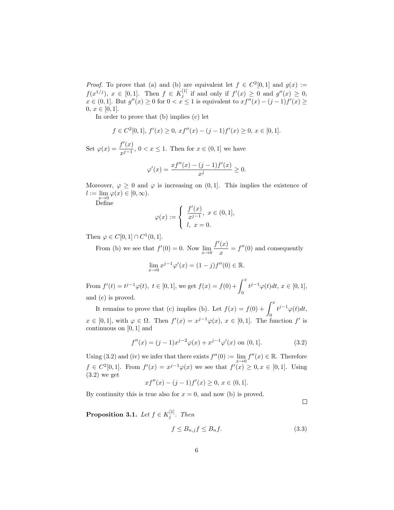*Proof.* To prove that (a) and (b) are equivalent let  $f \in C^2[0,1]$  and  $g(x) :=$  $f(x^{1/j})$ ,  $x \in [0,1]$ . Then  $f \in K_j^{[1]}$  if and only if  $f'(x) \ge 0$  and  $g''(x) \ge 0$ ,  $x \in (0,1]$ . But  $g''(x) \geq 0$  for  $0 < x \leq 1$  is equivalent to  $xf''(x) - (j-1)f'(x) \geq$  $0, x \in [0, 1].$ 

In order to prove that (b) implies (c) let

$$
f \in C^{2}[0,1], f'(x) \ge 0, xf''(x) - (j-1)f'(x) \ge 0, x \in [0,1].
$$

Set  $\varphi(x) = \frac{f'(x)}{x-1}$  $\frac{f(x)}{x^{j-1}}$ ,  $0 < x \le 1$ . Then for  $x \in (0,1]$  we have

$$
\varphi'(x) = \frac{xf''(x) - (j-1)f'(x)}{x^j} \ge 0.
$$

Moreover,  $\varphi \geq 0$  and  $\varphi$  is increasing on  $(0, 1]$ . This implies the existence of  $l := \lim_{x \to 0} \varphi(x) \in [0, \infty).$ 

Define

$$
\varphi(x) := \begin{cases} \frac{f'(x)}{x^{j-1}}, \ x \in (0,1], \\ l, \ x = 0. \end{cases}
$$

Then  $\varphi \in C[0,1] \cap C^1(0,1]$ .

From (b) we see that  $f'(0) = 0$ . Now  $\lim_{x \to 0} \frac{f'(x)}{x}$  $\frac{d(x)}{dx} = f''(0)$  and consequently

$$
\lim_{x \to 0} x^{j-1} \varphi'(x) = (1 - j) f''(0) \in \mathbb{R}.
$$

From  $f'(t) = t^{j-1}\varphi(t), t \in [0,1]$ , we get  $f(x) = f(0) + \int^x$ 0  $t^{j-1}\varphi(t)dt, x \in [0,1],$ and (c) is proved.

It remains to prove that (c) implies (b). Let  $f(x) = f(0) + \int^x t^{j-1} \varphi(t) dt$ ,  $x \in [0,1],$  with  $\varphi \in \Omega$ . Then  $f'(x) = x^{j-1}\varphi(x), x \in [0,1].$  The function f' is continuous on [0, 1] and

$$
f''(x) = (j-1)x^{j-2}\varphi(x) + x^{j-1}\varphi'(x) \text{ on } (0,1].
$$
 (3.2)

Using (3.2) and (iv) we infer that there exists  $f''(0) := \lim_{x\to 0} f''(x) \in \mathbb{R}$ . Therefore  $f \in C^2[0,1]$ . From  $f'(x) = x^{j-1}\varphi(x)$  we see that  $f'(x) \ge 0, x \in [0,1]$ . Using  $(3.2)$  we get

$$
xf''(x) - (j-1)f'(x) \ge 0, x \in (0,1].
$$

By continuity this is true also for  $x = 0$ , and now (b) is proved.

**Proposition 3.1.** Let  $f \in K_j^{[1]}$ . Then

$$
f \le B_{n,j} f \le B_n f. \tag{3.3}
$$

 $\Box$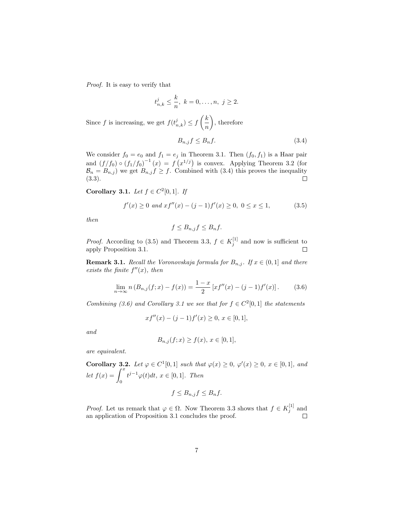Proof. It is easy to verify that

$$
t_{n,k}^j \leq \frac{k}{n}, \ k = 0, \ldots, n, \ j \geq 2.
$$

Since f is increasing, we get  $f(t_{n,k}^j) \leq f\left(\frac{k}{n}\right)$ n , therefore

$$
B_{n,j}f \le B_n f. \tag{3.4}
$$

We consider  $f_0 = e_0$  and  $f_1 = e_j$  in Theorem 3.1. Then  $(f_0, f_1)$  is a Haar pair and  $(f/f_0) \circ (f_1/f_0)^{-1}(x) = f(x^{1/j})$  is convex. Applying Theorem 3.2 (for  $\mathcal{B}_n = B_{n,j}$  we get  $B_{n,j} f \geq f$ . Combined with (3.4) this proves the inequality (3.3).  $\Box$ 

Corollary 3.1. Let  $f \in C^2[0,1]$ . If

$$
f'(x) \ge 0 \text{ and } xf''(x) - (j-1)f'(x) \ge 0, \ 0 \le x \le 1,
$$
 (3.5)

then

$$
f \leq B_{n,j} f \leq B_n f.
$$

*Proof.* According to (3.5) and Theorem 3.3,  $f \in K_j^{[1]}$  and now is sufficient to apply Proposition 3.1.  $\Box$ 

**Remark 3.1.** Recall the Voronovskaja formula for  $B_{n,i}$ . If  $x \in (0,1]$  and there exists the finite  $f''(x)$ , then

$$
\lim_{n \to \infty} n (B_{n,j}(f;x) - f(x)) = \frac{1-x}{2} [xf''(x) - (j-1)f'(x)].
$$
 (3.6)

Combining (3.6) and Corollary 3.1 we see that for  $f \in C^2[0,1]$  the statements

$$
xf''(x) - (j-1)f'(x) \ge 0, x \in [0,1],
$$

and

$$
B_{n,j}(f;x) \ge f(x), \, x \in [0,1],
$$

are equivalent.

Corollary 3.2. Let  $\varphi \in C^1[0,1]$  such that  $\varphi(x) \geq 0$ ,  $\varphi'(x) \geq 0$ ,  $x \in [0,1]$ , and let  $f(x) = \int^x$ 0  $t^{j-1}\varphi(t)dt, x \in [0,1].$  Then

$$
f \leq B_{n,j} f \leq B_n f.
$$

*Proof.* Let us remark that  $\varphi \in \Omega$ . Now Theorem 3.3 shows that  $f \in K_j^{[1]}$  and an application of Proposition 3.1 concludes the proof.  $\Box$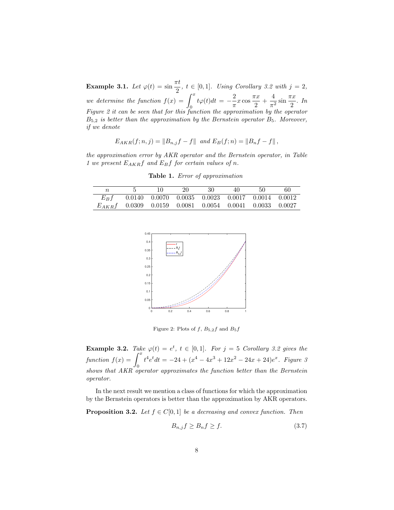**Example 3.1.** Let  $\varphi(t) = \sin \frac{\pi t}{2}$ ,  $t \in [0, 1]$ . Using Corollary 3.2 with  $j = 2$ , we determine the function  $f(x) = \int_0^x$  $\overline{0}$  $t\varphi(t)dt = -\frac{2}{\pi}$  $rac{2}{\pi}x\cos\frac{\pi x}{2}$  $\frac{\pi x}{2} + \frac{4}{\pi^2}$  $rac{4}{\pi^2}$  sin  $rac{\pi x}{2}$  $\frac{1}{2}$ . In Figure 2 it can be seen that for this function the approximation by the operator  $B_{5,2}$  is better than the approximation by the Bernstein operator  $B_5$ . Moreover, if we denote

$$
E_{AKR}(f; n, j) = ||B_{n,j}f - f|| \text{ and } E_B(f; n) = ||B_nf - f||,
$$

the approximation error by AKR operator and the Bernstein operator, in Table 1 we present  $E_{AKR}f$  and  $E_Bf$  for certain values of n.

Table 1. Error of approximation

|                                                             |  | 20 | 30 | 40                                                             | 50 | 60 |
|-------------------------------------------------------------|--|----|----|----------------------------------------------------------------|----|----|
| $E_B f$                                                     |  |    |    | $0.0140$ $0.0070$ $0.0035$ $0.0023$ $0.0017$ $0.0014$ $0.0012$ |    |    |
| $E_{AKR}f$ 0.0309 0.0159 0.0081 0.0054 0.0041 0.0033 0.0027 |  |    |    |                                                                |    |    |



Figure 2: Plots of  $f$ ,  $B_{5,2}f$  and  $B_5f$ 

**Example 3.2.** Take  $\varphi(t) = e^t$ ,  $t \in [0,1]$ . For  $j = 5$  Corollary 3.2 gives the function  $f(x) = \int_0^x$ 0  $t^4e^t dt = -24 + (x^4 - 4x^3 + 12x^2 - 24x + 24)e^x$ . Figure 3 shows that AKR operator approximates the function better than the Bernstein operator.

In the next result we mention a class of functions for which the approximation by the Bernstein operators is better than the approximation by AKR operators.

**Proposition 3.2.** Let  $f \in C[0, 1]$  be a decreasing and convex function. Then

$$
B_{n,j}f \ge B_n f \ge f. \tag{3.7}
$$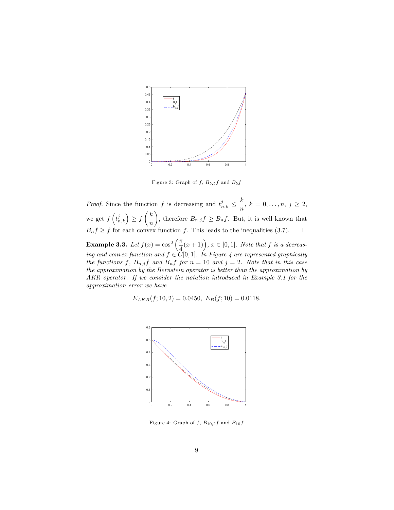

Figure 3: Graph of  $f$ ,  $B_{5,5}f$  and  $B_5f$ 

*Proof.* Since the function f is decreasing and  $t_{n,k}^j \leq \frac{k}{n}$  $\frac{n}{n}, k = 0, \ldots, n, j \geq 2,$ we get  $f\left(t_{n,k}^j\right) \geq f\left(\frac{k}{n}\right)$ n ), therefore  $B_{n,j}f \geq B_nf$ . But, it is well known that  $B_n f \geq f$  for each convex function f. This leads to the inequalities (3.7).

**Example 3.3.** Let  $f(x) = \cos^2\left(\frac{\pi}{4}\right)$  $\left(\frac{\pi}{4}(x+1)\right), x \in [0,1].$  Note that f is a decreasing and convex function and  $f \in C[0,1]$ . In Figure 4 are represented graphically the functions f,  $B_{n,j}$  and  $B_n$  for  $n = 10$  and  $j = 2$ . Note that in this case the approximation by the Bernstein operator is better than the approximation by AKR operator. If we consider the notation introduced in Example 3.1 for the approximation error we have

$$
E_{AKR}(f; 10, 2) = 0.0450, \ E_B(f; 10) = 0.0118.
$$



Figure 4: Graph of  $f$ ,  $B_{10,2}f$  and  $B_{10}f$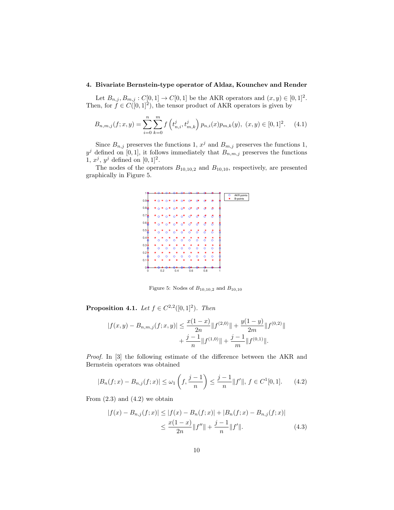# 4. Bivariate Bernstein-type operator of Aldaz, Kounchev and Render

Let  $B_{n,j}, B_{m,j}: C[0,1] \to C[0,1]$  be the AKR operators and  $(x, y) \in [0,1]^2$ . Then, for  $f \in C([0,1]^2)$ , the tensor product of AKR operators is given by

$$
B_{n,m,j}(f;x,y) = \sum_{i=0}^{n} \sum_{k=0}^{m} f\left(t_{n,i}^j, t_{m,k}^j\right) p_{n,i}(x) p_{m,k}(y), (x,y) \in [0,1]^2. \tag{4.1}
$$

Since  $B_{n,j}$  preserves the functions 1,  $x^j$  and  $B_{m,j}$  preserves the functions 1,  $y^j$  defined on [0, 1], it follows immediately that  $B_{n,m,j}$  preserves the functions 1,  $x^j$ ,  $y^j$  defined on [0, 1]<sup>2</sup>.

The nodes of the operators  $B_{10,10,2}$  and  $B_{10,10}$ , respectively, are presented graphically in Figure 5.



Figure 5: Nodes of  $B_{10,10,2}$  and  $B_{10,10}$ 

**Proposition 4.1.** Let  $f \in C^{2,2}([0,1]^2)$ . Then

$$
|f(x,y) - B_{n,m,j}(f;x,y)| \le \frac{x(1-x)}{2n} \|f^{(2,0)}\| + \frac{y(1-y)}{2m} \|f^{(0,2)}\| + \frac{j-1}{n} \|f^{(1,0)}\| + \frac{j-1}{m} \|f^{(0,1)}\|.
$$

Proof. In [3] the following estimate of the difference between the AKR and Bernstein operators was obtained

$$
|B_n(f;x) - B_{n,j}(f;x)| \le \omega_1\left(f, \frac{j-1}{n}\right) \le \frac{j-1}{n} ||f'||, \ f \in C^1[0,1].\tag{4.2}
$$

From  $(2.3)$  and  $(4.2)$  we obtain

$$
|f(x) - B_{n,j}(f;x)| \le |f(x) - B_n(f;x)| + |B_n(f;x) - B_{n,j}(f;x)|
$$
  

$$
\le \frac{x(1-x)}{2n} ||f''|| + \frac{j-1}{n} ||f'||. \tag{4.3}
$$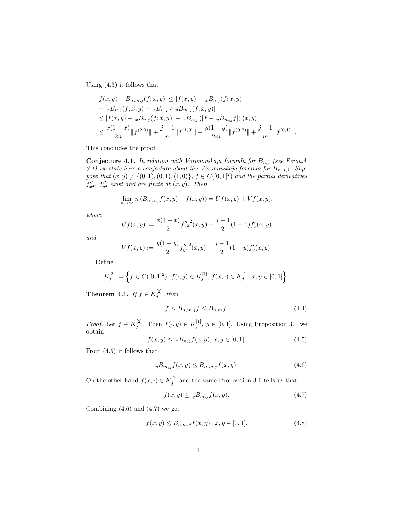Using (4.3) it follows that

$$
|f(x,y) - B_{n,m,j}(f;x,y)| \le |f(x,y) - xB_{n,j}(f;x,y)|
$$
  
+  $|xB_{n,j}(f;x,y) - xB_{n,j} \circ yB_{m,j}(f;x,y)|$   
 $\le |f(x,y) - xB_{n,j}(f;x,y)| + xB_{n,j} (|f - yB_{m,j}f|) (x,y)$   
 $\le \frac{x(1-x)}{2n} ||f^{(2,0)}|| + \frac{j-1}{n} ||f^{(1,0)}|| + \frac{y(1-y)}{2m} ||f^{(0,2)}|| + \frac{j-1}{m} ||f^{(0,1)}||.$ 

This concludes the proof.

**Conjecture 4.1.** In relation with Voronovskaja formula for  $B_{n,j}$  (see Remark 3.1) we state here a conjecture about the Voronovskaja formula for  $B_{n,n,j}$ . Suppose that  $(x, y) \neq \{(0, 1), (0, 1), (1, 0)\}, f \in C([0, 1]^2)$  and the partial derivatives  $f''_{x^2}$ ,  $f''_{y^2}$  exist and are finite at  $(x, y)$ . Then,

$$
\lim_{n \to \infty} n (B_{n,n,j}f(x,y) - f(x,y)) = Uf(x,y) + Vf(x,y),
$$

where

$$
Uf(x,y) := \frac{x(1-x)}{2}f''_{x^2}(x,y) - \frac{j-1}{2}(1-x)f'_x(x,y)
$$

and

$$
Vf(x,y) := \frac{y(1-y)}{2} f''_{y^2}(x,y) - \frac{j-1}{2}(1-y)f'_y(x,y).
$$

Define

$$
K_j^{[2]} := \left\{ f \in C([0,1]^2) \, | \, f(\cdot,y) \in K_j^{[1]}, \, f(x,\cdot) \in K_j^{[1]}, \, x,y \in [0,1] \right\}.
$$

**Theorem 4.1.** If  $f \in K_j^{[2]}$ , then

$$
f \le B_{n,m,j} f \le B_{n,m} f. \tag{4.4}
$$

*Proof.* Let  $f \in K_j^{[2]}$ . Then  $f(\cdot, y) \in K_j^{[1]}$ ,  $y \in [0, 1]$ . Using Proposition 3.1 we obtain

$$
f(x,y) \leq x B_{n,j} f(x,y), x, y \in [0,1]. \tag{4.5}
$$

From (4.5) it follows that

$$
yB_{m,j}f(x,y) \le B_{n,m,j}f(x,y). \tag{4.6}
$$

On the other hand  $f(x, \cdot) \in K_j^{[1]}$  and the same Proposition 3.1 tells us that

$$
f(x,y) \leq yB_{m,j}f(x,y). \tag{4.7}
$$

Combining  $(4.6)$  and  $(4.7)$  we get

$$
f(x,y) \le B_{n,m,j} f(x,y), \ x, y \in [0,1]. \tag{4.8}
$$

 $\Box$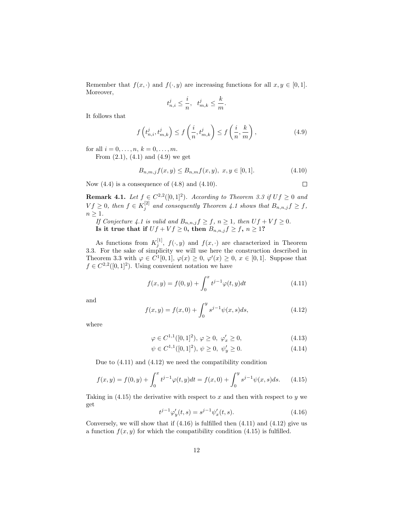Remember that  $f(x, \cdot)$  and  $f(\cdot, y)$  are increasing functions for all  $x, y \in [0, 1]$ . Moreover,

$$
t_{n,i}^j \le \frac{i}{n}, \quad t_{m,k}^j \le \frac{k}{m}.
$$

It follows that

$$
f\left(t_{n,i}^{j}, t_{m,k}^{j}\right) \le f\left(\frac{i}{n}, t_{m,k}^{j}\right) \le f\left(\frac{i}{n}, \frac{k}{m}\right),\tag{4.9}
$$

for all  $i = 0, ..., n, k = 0, ..., m$ .

From  $(2.1)$ ,  $(4.1)$  and  $(4.9)$  we get

$$
B_{n,m,j}f(x,y) \le B_{n,m}f(x,y), x, y \in [0,1].
$$
\n(4.10)

 $\Box$ 

Now  $(4.4)$  is a consequence of  $(4.8)$  and  $(4.10)$ .

**Remark 4.1.** Let  $f \in C^{2,2}([0,1]^2)$ . According to Theorem 3.3 if  $Uf \ge 0$  and  $Vf \geq 0$ , then  $f \in K_j^{[2]}$  and consequently Theorem 4.1 shows that  $B_{n,n,j} f \geq f$ ,  $n \geq 1$ .

If Conjecture 4.1 is valid and  $B_{n,n,j} f \geq f, n \geq 1$ , then  $Uf + Vf \geq 0$ . Is it true that if  $Uf + Vf \geq 0$ , then  $B_{n,n,j}f \geq f, n \geq 1$ ?

As functions from  $K_j^{[1]}$ ,  $f(\cdot, y)$  and  $f(x, \cdot)$  are characterized in Theorem 3.3. For the sake of simplicity we will use here the construction described in Theorem 3.3 with  $\varphi \in C^1[0,1], \varphi(x) \geq 0, \varphi'(x) \geq 0, x \in [0,1].$  Suppose that  $f \in C^{2,2}([0,1]^2)$ . Using convenient notation we have

$$
f(x,y) = f(0,y) + \int_0^x t^{j-1} \varphi(t,y) dt
$$
\n(4.11)

and

$$
f(x,y) = f(x,0) + \int_0^y s^{j-1} \psi(x,s) ds,
$$
\n(4.12)

where

$$
\varphi \in C^{1,1}([0,1]^2), \varphi \ge 0, \varphi'_x \ge 0,
$$
\n(4.13)

$$
\psi \in C^{1,1}([0,1]^2), \, \psi \ge 0, \, \psi'_y \ge 0. \tag{4.14}
$$

Due to (4.11) and (4.12) we need the compatibility condition

$$
f(x,y) = f(0,y) + \int_0^x t^{j-1} \varphi(t,y) dt = f(x,0) + \int_0^y s^{j-1} \psi(x,s) ds.
$$
 (4.15)

Taking in  $(4.15)$  the derivative with respect to x and then with respect to y we get

$$
t^{j-1}\varphi'_y(t,s) = s^{j-1}\psi'_x(t,s).
$$
\n(4.16)

Conversely, we will show that if  $(4.16)$  is fulfilled then  $(4.11)$  and  $(4.12)$  give us a function  $f(x, y)$  for which the compatibility condition (4.15) is fulfilled.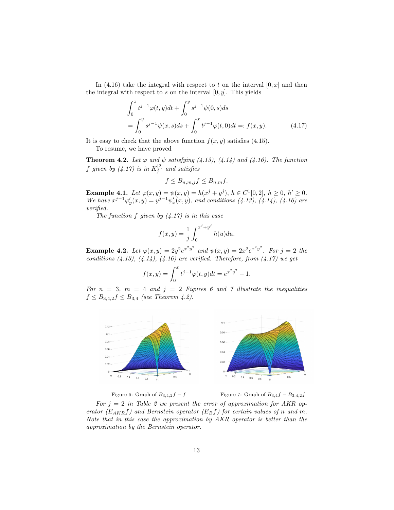In (4.16) take the integral with respect to t on the interval  $[0, x]$  and then the integral with respect to  $s$  on the interval  $[0, y]$ . This yields

$$
\int_0^x t^{j-1} \varphi(t, y) dt + \int_0^y s^{j-1} \psi(0, s) ds
$$
  
= 
$$
\int_0^y s^{j-1} \psi(x, s) ds + \int_0^x t^{j-1} \varphi(t, 0) dt =: f(x, y).
$$
 (4.17)

It is easy to check that the above function  $f(x, y)$  satisfies (4.15). To resume, we have proved

**Theorem 4.2.** Let  $\varphi$  and  $\psi$  satisfying (4.13), (4.14) and (4.16). The function f given by  $(4.17)$  is in  $K_j^{[2]}$  and satisfies

$$
f \leq B_{n,m,j} f \leq B_{n,m} f.
$$

Example 4.1. Let  $\varphi(x, y) = \psi(x, y) = h(x^{j} + y^{j}), h \in C^{1}[0, 2], h \ge 0, h' \ge 0.$ We have  $x^{j-1}\varphi'_y(x,y) = y^{j-1}\psi'_x(x,y)$ , and conditions (4.13), (4.14), (4.16) are verified.

The function  $f$  given by  $(4.17)$  is in this case

$$
f(x,y) = \frac{1}{j} \int_0^{x^j + y^j} h(u) du.
$$

**Example 4.2.** Let  $\varphi(x, y) = 2y^2 e^{x^2 y^2}$  and  $\psi(x, y) = 2x^2 e^{x^2 y^2}$ . For  $j = 2$  the conditions  $(4.13)$ ,  $(4.14)$ ,  $(4.16)$  are verified. Therefore, from  $(4.17)$  we get

$$
f(x,y) = \int_0^x t^{j-1} \varphi(t,y) dt = e^{x^2 y^2} - 1.
$$

For  $n = 3$ ,  $m = 4$  and  $j = 2$  Figures 6 and 7 illustrate the inequalities  $f \leq B_{3,4,2} f \leq B_{3,4}$  (see Theorem 4.2).



Figure 6: Graph of  $B_{3,4,2}f - f$  Figure 7: Graph of  $B_{3,4}f - B_{3,4,2}f$ 

For  $j = 2$  in Table 2 we present the error of approximation for AKR operator ( $E_{AKR}f$ ) and Bernstein operator ( $E_{B}f$ ) for certain values of n and m. Note that in this case the approximation by AKR operator is better than the approximation by the Bernstein operator.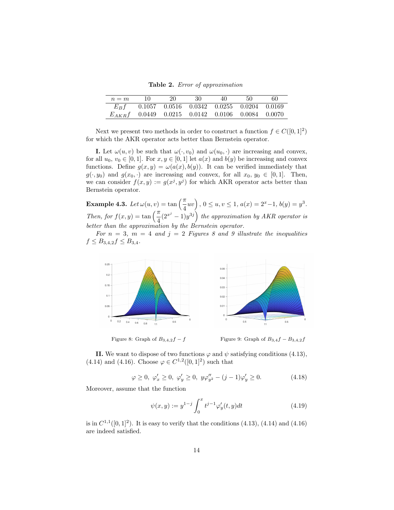Table 2. Error of approximation

| $n = m$                                              | 20                                                    | 30 | 40 | 50 | 60 |
|------------------------------------------------------|-------------------------------------------------------|----|----|----|----|
| $E_B f$                                              | $0.1057$ $0.0516$ $0.0342$ $0.0255$ $0.0204$ $0.0169$ |    |    |    |    |
| $E_{AKR}f$ 0.0449 0.0215 0.0142 0.0106 0.0084 0.0070 |                                                       |    |    |    |    |

Next we present two methods in order to construct a function  $f \in C([0, 1]^2)$ for which the AKR operator acts better than Bernstein operator.

**I.** Let  $\omega(u, v)$  be such that  $\omega(\cdot, v_0)$  and  $\omega(u_0, \cdot)$  are increasing and convex, for all  $u_0, v_0 \in [0, 1]$ . For  $x, y \in [0, 1]$  let  $a(x)$  and  $b(y)$  be increasing and convex functions. Define  $g(x, y) = \omega(a(x), b(y))$ . It can be verified immediately that  $g(\cdot, y_0)$  and  $g(x_0, \cdot)$  are increasing and convex, for all  $x_0, y_0 \in [0, 1]$ . Then, we can consider  $f(x, y) := g(x^j, y^j)$  for which AKR operator acts better than Bernstein operator.

**Example 4.3.** Let  $\omega(u, v) = \tan\left(\frac{\pi}{4}uv\right)$ ,  $0 \le u, v \le 1$ ,  $a(x) = 2^x - 1$ ,  $b(y) = y^3$ . Then, for  $f(x,y) = \tan\left(\frac{\pi}{4}(2^{x^j}-1)y^{3j}\right)$  the approximation by AKR operator is better than the approximation by the Bernstein operator.

For  $n = 3$ ,  $m = 4$  and  $j = 2$  Figures 8 and 9 illustrate the inequalities  $f \leq B_{3,4,2} f \leq B_{3,4}.$ 



Figure 8: Graph of  $B_{3,4,2}f - f$  Figure 9: Graph of  $B_{3,4}f - B_{3,4,2}f$ 

II. We want to dispose of two functions  $\varphi$  and  $\psi$  satisfying conditions (4.13), (4.14) and (4.16). Choose  $\varphi \in C^{1,2}([0,1]^2)$  such that

$$
\varphi \ge 0, \varphi'_x \ge 0, \varphi'_y \ge 0, y\varphi''_{y^2} - (j-1)\varphi'_y \ge 0.
$$
\n(4.18)

Moreover, assume that the function

$$
\psi(x,y) := y^{1-j} \int_0^x t^{j-1} \varphi'_y(t,y) dt \tag{4.19}
$$

is in  $C^{1,1}([0,1]^2)$ . It is easy to verify that the conditions  $(4.13)$ ,  $(4.14)$  and  $(4.16)$ are indeed satisfied.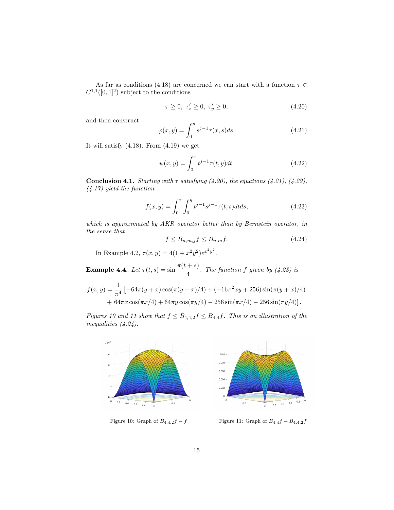As far as conditions (4.18) are concerned we can start with a function  $\tau \in$  $C^{1,1}([0,1]^2)$  subject to the conditions

$$
\tau \ge 0, \ \tau_x' \ge 0, \ \tau_y' \ge 0,\tag{4.20}
$$

and then construct

$$
\varphi(x,y) = \int_0^y s^{j-1} \tau(x,s) ds.
$$
\n(4.21)

It will satisfy  $(4.18)$ . From  $(4.19)$  we get

$$
\psi(x,y) = \int_0^x t^{j-1} \tau(t,y) dt.
$$
\n(4.22)

**Conclusion 4.1.** Starting with  $\tau$  satisfying (4.20), the equations (4.21), (4.22), (4.17) yield the function

$$
f(x,y) = \int_0^x \int_0^y t^{j-1} s^{j-1} \tau(t,s) dt ds,
$$
\n(4.23)

which is approximated by AKR operator better than by Bernstein operator, in the sense that

$$
f \le B_{n,m,j} f \le B_{n,m} f. \tag{4.24}
$$

In Example 4.2,  $\tau(x,y) = 4(1+x^2y^2)e^{x^2y^2}$ .

**Example 4.4.** Let  $\tau(t,s) = \sin \frac{\pi(t+s)}{4}$ . The function f given by (4.23) is

$$
f(x,y) = \frac{1}{\pi^4} \left[ -64\pi (y+x) \cos(\pi (y+x)/4) + (-16\pi^2 xy + 256) \sin(\pi (y+x)/4) + 64\pi x \cos(\pi x/4) + 64\pi y \cos(\pi y/4) - 256 \sin(\pi x/4) - 256 \sin(\pi y/4) \right].
$$

Figures 10 and 11 show that  $f \leq B_{4,4,2} f \leq B_{4,4} f$ . This is an illustration of the inequalities (4.24).



Figure 10: Graph of  $B_{4,4,2}f - f$  Figure 11: Graph of  $B_{4,4}f - B_{4,4,2}f$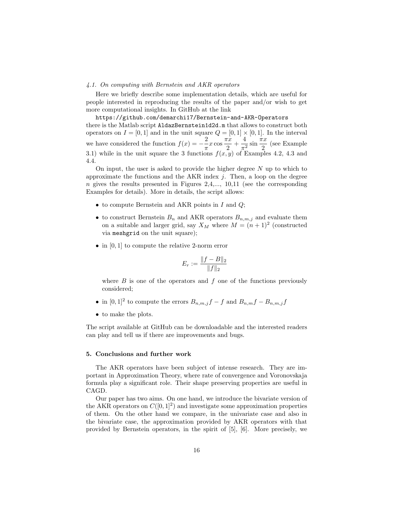## 4.1. On computing with Bernstein and AKR operators

Here we briefly describe some implementation details, which are useful for people interested in reproducing the results of the paper and/or wish to get more computational insights. In GitHub at the link

https://github.com/demarchi17/Bernstein-and-AKR-Operators there is the Matlab script AldazBernstein1d2d.m that allows to construct both operators on  $I = [0, 1]$  and in the unit square  $Q = [0, 1] \times [0, 1]$ . In the interval we have considered the function  $f(x) = -\frac{2}{x}$  $\frac{2}{\pi}x\cos\frac{\pi x}{2}$  $\frac{\pi x}{2} + \frac{4}{\pi^2}$  $rac{4}{\pi^2}$  sin  $rac{\pi x}{2}$  $\frac{a}{2}$  (see Example 3.1) while in the unit square the 3 functions  $f(x, y)$  of Examples 4.2, 4.3 and 4.4.

On input, the user is asked to provide the higher degree  $N$  up to which to approximate the functions and the AKR index  $j$ . Then, a loop on the degree  $n$  gives the results presented in Figures 2,4,..., 10,11 (see the corresponding Examples for details). More in details, the script allows:

- to compute Bernstein and AKR points in  $I$  and  $Q$ ;
- to construct Bernstein  $B_n$  and AKR operators  $B_{n,m,j}$  and evaluate them on a suitable and larger grid, say  $X_M$  where  $M = (n + 1)^2$  (constructed via meshgrid on the unit square);
- in  $[0, 1]$  to compute the relative 2-norm error

$$
E_r := \frac{\|f - B\|_2}{\|f\|_2}
$$

where  $B$  is one of the operators and  $f$  one of the functions previously considered;

- in  $[0,1]^2$  to compute the errors  $B_{n,m,j}f-f$  and  $B_{n,m}f-B_{n,m,j}f$
- to make the plots.

The script available at GitHub can be downloadable and the interested readers can play and tell us if there are improvements and bugs.

#### 5. Conclusions and further work

The AKR operators have been subject of intense research. They are important in Approximation Theory, where rate of convergence and Voronovskaja formula play a significant role. Their shape preserving properties are useful in CAGD.

Our paper has two aims. On one hand, we introduce the bivariate version of the AKR operators on  $C([0,1]^2)$  and investigate some approximation properties of them. On the other hand we compare, in the univariate case and also in the bivariate case, the approximation provided by AKR operators with that provided by Bernstein operators, in the spirit of [5], [6]. More precisely, we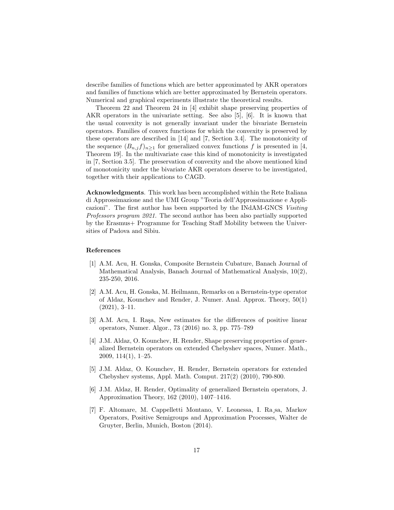describe families of functions which are better approximated by AKR operators and families of functions which are better approximated by Bernstein operators. Numerical and graphical experiments illustrate the theoretical results.

Theorem 22 and Theorem 24 in [4] exhibit shape preserving properties of AKR operators in the univariate setting. See also [5], [6]. It is known that the usual convexity is not generally invariant under the bivariate Bernstein operators. Families of convex functions for which the convexity is preserved by these operators are described in [14] and [7, Section 3.4]. The monotonicity of the sequence  $(B_{n,j}f)_{n\geq 1}$  for generalized convex functions f is presented in [4, Theorem 19]. In the multivariate case this kind of monotonicity is investigated in [7, Section 3.5]. The preservation of convexity and the above mentioned kind of monotonicity under the bivariate AKR operators deserve to be investigated, together with their applications to CAGD.

Acknowledgments. This work has been accomplished within the Rete Italiana di Approssimazione and the UMI Group "Teoria dell'Approssimazione e Applicazioni". The first author has been supported by the INdAM-GNCS Visiting Professors program 2021. The second author has been also partially supported by the Erasmus+ Programme for Teaching Staff Mobility between the Universities of Padova and Sibiu.

# References

- [1] A.M. Acu, H. Gonska, Composite Bernstein Cubature, Banach Journal of Mathematical Analysis, Banach Journal of Mathematical Analysis, 10(2), 235-250, 2016.
- [2] A.M. Acu, H. Gonska, M. Heilmann, Remarks on a Bernstein-type operator of Aldaz, Kounchev and Render, J. Numer. Anal. Approx. Theory, 50(1) (2021), 3–11.
- [3] A.M. Acu, I. Raşa, New estimates for the differences of positive linear operators, Numer. Algor., 73 (2016) no. 3, pp. 775–789
- [4] J.M. Aldaz, O. Kounchev, H. Render, Shape preserving properties of generalized Bernstein operators on extended Chebyshev spaces, Numer. Math., 2009, 114(1), 1–25.
- [5] J.M. Aldaz, O. Kounchev, H. Render, Bernstein operators for extended Chebyshev systems, Appl. Math. Comput. 217(2) (2010), 790-800.
- [6] J.M. Aldaz, H. Render, Optimality of generalized Bernstein operators, J. Approximation Theory, 162 (2010), 1407–1416.
- [7] F. Altomare, M. Cappelletti Montano, V. Leonessa, I. Ra¸sa, Markov Operators, Positive Semigroups and Approximation Processes, Walter de Gruyter, Berlin, Munich, Boston (2014).